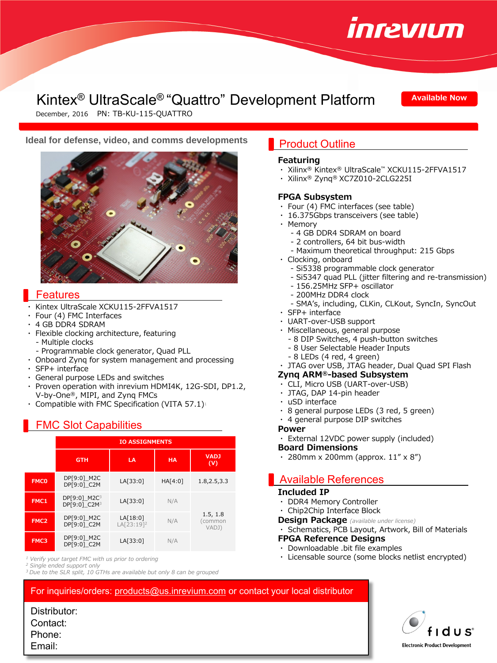

# Kintex® UltraScale® "Quattro" Development Platform

**Available Now**

December, 2016 PN: TB-KU-115-QUATTRO

## **Ideal for defense, video, and comms developments** Product Outline



#### Features

- Kintex UltraScale XCKU115-2FFVA1517
- Four (4) FMC Interfaces
- 4 GB DDR4 SDRAM
- Flexible clocking architecture, featuring - Multiple clocks
- Programmable clock generator, Quad PLL
- ・ Onboard Zynq for system management and processing
- ・ SFP+ interface
- ・ General purpose LEDs and switches
- Proven operation with inrevium HDMI4K, 12G-SDI, DP1.2, V-by-One®, MIPI, and Zynq FMCs
- Compatible with FMC Specification (VITA 57.1) $1$

# FMC Slot Capabilities

|                  | <b>IO ASSIGNMENTS</b>                                |                                    |           |                             |
|------------------|------------------------------------------------------|------------------------------------|-----------|-----------------------------|
|                  | <b>GTH</b>                                           | LA                                 | <b>HA</b> | <b>VADJ</b><br>(V)          |
| <b>FMCO</b>      | DP[9:0]_M2C<br>DP[9:0] C2M                           | LA[33:0]                           | HA[4:0]   | 1.8, 2.5, 3.3               |
| FMC1             | DP[9:0] M2C <sup>3</sup><br>DP[9:0] C2M <sup>3</sup> | LA[33:0]                           | N/A       | 1.5, 1.8<br>common<br>VADJ) |
| FMC <sub>2</sub> | DP[9:0] M2C<br>DP[9:0] C2M                           | LA[18:0]<br>LA[23:19] <sup>2</sup> | N/A       |                             |
| FMC3             | DP[9:0] M2C<br>DP[9:0] C2M                           | LA[33:0]                           | N/A       |                             |

*<sup>1</sup> Verify your target FMC with us prior to ordering*

*<sup>3</sup> Due to the SLR split, 10 GTHs are available but only 8 can be grouped*

#### **Featuring**

- ・ Xilinx® Kintex® UltraScale™ XCKU115-2FFVA1517
- ・ Xilinx® Zynq® XC7Z010-2CLG225I

#### **FPGA Subsystem**

- ・ Four (4) FMC interfaces (see table)
- ・ 16.375Gbps transceivers (see table)
- ・ Memory
	- 4 GB DDR4 SDRAM on board
	- 2 controllers, 64 bit bus-width
	- Maximum theoretical throughput: 215 Gbps
- ・ Clocking, onboard
	- Si5338 programmable clock generator
	- Si5347 quad PLL (jitter filtering and re-transmission)
	- 156.25MHz SFP+ oscillator
	- 200MHz DDR4 clock
	- SMA's, including, CLKin, CLKout, SyncIn, SyncOut
- ・ SFP+ interface
- ・ UART-over-USB support
- ・ Miscellaneous, general purpose
	- 8 DIP Switches, 4 push-button switches
	- 8 User Selectable Header Inputs
	- 8 LEDs (4 red, 4 green)
- ・ JTAG over USB, JTAG header, Dual Quad SPI Flash

### **Zynq ARM®-based Subsystem**

- ・ CLI, Micro USB (UART-over-USB)
- JTAG, DAP 14-pin header
- ・ uSD interface
- 8 general purpose LEDs (3 red, 5 green)
- ・ 4 general purpose DIP switches
- **Power**
- ・ External 12VDC power supply (included)

#### **Board Dimensions**

280mm x 200mm (approx.  $11'' \times 8''$ )

# Available References

#### **Included IP**

- ・ DDR4 Memory Controller
- ・ Chip2Chip Interface Block
- **Design Package** *(available under license)*
- ・ Schematics, PCB Layout, Artwork, Bill of Materials
- **FPGA Reference Designs**
- ・ Downloadable .bit file examples
- ・ Licensable source (some blocks netlist encrypted)

For inquiries/orders: [products@us.inrevium.com](mailto:products@us.inrevium.com) or contact your local distributor

Distributor: Contact: Phone: Email:



*<sup>2</sup> Single ended support only*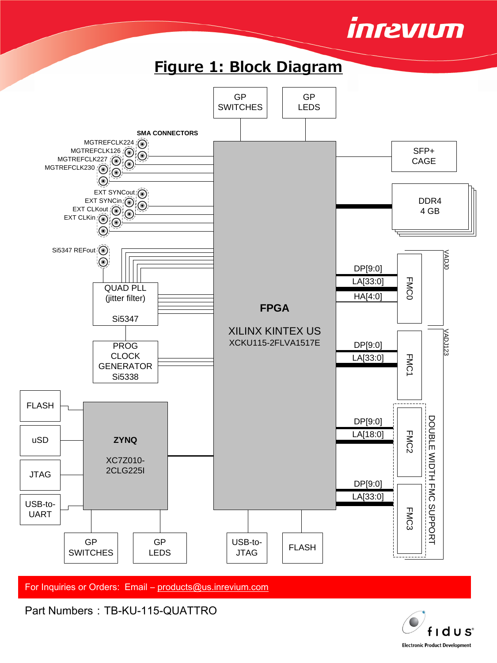





For Inquiries or Orders: Email - [products@us.inrevium.com](mailto:products@us.inrevium.com)

Part Numbers: TB-KU-115-QUATTRO